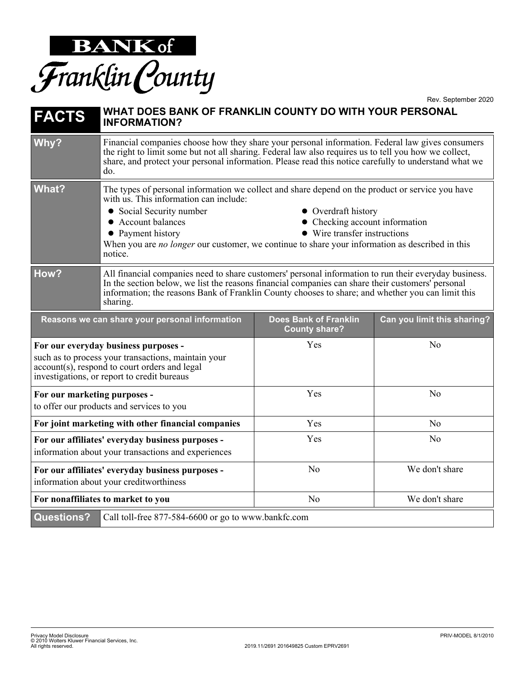

Rev. September 2020

| <b>FACTS</b>                                                                                                                                                                                | WHAT DOES BANK OF FRANKLIN COUNTY DO WITH YOUR PERSONAL<br><b>INFORMATION?</b>                                                                                                                                                                                                                                                                                                                                                  |                                                      |                             |
|---------------------------------------------------------------------------------------------------------------------------------------------------------------------------------------------|---------------------------------------------------------------------------------------------------------------------------------------------------------------------------------------------------------------------------------------------------------------------------------------------------------------------------------------------------------------------------------------------------------------------------------|------------------------------------------------------|-----------------------------|
| Why?                                                                                                                                                                                        | Financial companies choose how they share your personal information. Federal law gives consumers<br>the right to limit some but not all sharing. Federal law also requires us to tell you how we collect,<br>share, and protect your personal information. Please read this notice carefully to understand what we<br>do.                                                                                                       |                                                      |                             |
| What?                                                                                                                                                                                       | The types of personal information we collect and share depend on the product or service you have<br>with us. This information can include:<br>• Social Security number<br>• Overdraft history<br>• Account balances<br>• Checking account information<br>• Wire transfer instructions<br>• Payment history<br>When you are <i>no longer</i> our customer, we continue to share your information as described in this<br>notice. |                                                      |                             |
| How?                                                                                                                                                                                        | All financial companies need to share customers' personal information to run their everyday business.<br>In the section below, we list the reasons financial companies can share their customers' personal<br>information; the reasons Bank of Franklin County chooses to share; and whether you can limit this<br>sharing.                                                                                                     |                                                      |                             |
|                                                                                                                                                                                             | Reasons we can share your personal information                                                                                                                                                                                                                                                                                                                                                                                  | <b>Does Bank of Franklin</b><br><b>County share?</b> | Can you limit this sharing? |
| For our everyday business purposes -<br>such as to process your transactions, maintain your<br>account(s), respond to court orders and legal<br>investigations, or report to credit bureaus |                                                                                                                                                                                                                                                                                                                                                                                                                                 | Yes                                                  | N <sub>o</sub>              |
| For our marketing purposes -<br>to offer our products and services to you                                                                                                                   |                                                                                                                                                                                                                                                                                                                                                                                                                                 | Yes                                                  | N <sub>o</sub>              |
| For joint marketing with other financial companies                                                                                                                                          |                                                                                                                                                                                                                                                                                                                                                                                                                                 | Yes                                                  | No                          |
| For our affiliates' everyday business purposes -<br>information about your transactions and experiences                                                                                     |                                                                                                                                                                                                                                                                                                                                                                                                                                 | Yes                                                  | N <sub>o</sub>              |
| For our affiliates' everyday business purposes -<br>information about your creditworthiness                                                                                                 |                                                                                                                                                                                                                                                                                                                                                                                                                                 | N <sub>o</sub>                                       | We don't share              |
| For nonaffiliates to market to you                                                                                                                                                          |                                                                                                                                                                                                                                                                                                                                                                                                                                 | No                                                   | We don't share              |
| <b>Questions?</b>                                                                                                                                                                           | Call toll-free 877-584-6600 or go to www.bankfc.com                                                                                                                                                                                                                                                                                                                                                                             |                                                      |                             |